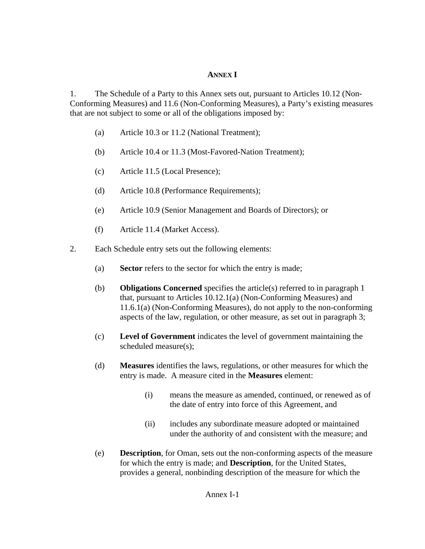## **ANNEX I**

1. The Schedule of a Party to this Annex sets out, pursuant to Articles 10.12 (Non-Conforming Measures) and 11.6 (Non-Conforming Measures), a Party's existing measures that are not subject to some or all of the obligations imposed by:

- (a) Article 10.3 or 11.2 (National Treatment);
- (b) Article 10.4 or 11.3 (Most-Favored-Nation Treatment);
- (c) Article 11.5 (Local Presence);
- (d) Article 10.8 (Performance Requirements);
- (e) Article 10.9 (Senior Management and Boards of Directors); or
- (f) Article 11.4 (Market Access).
- 2. Each Schedule entry sets out the following elements:
	- (a) **Sector** refers to the sector for which the entry is made;
	- (b) **Obligations Concerned** specifies the article(s) referred to in paragraph 1 that, pursuant to Articles 10.12.1(a) (Non-Conforming Measures) and 11.6.1(a) (Non-Conforming Measures), do not apply to the non-conforming aspects of the law, regulation, or other measure, as set out in paragraph 3;
	- (c) **Level of Government** indicates the level of government maintaining the scheduled measure(s);
	- (d) **Measures** identifies the laws, regulations, or other measures for which the entry is made. A measure cited in the **Measures** element:
		- (i) means the measure as amended, continued, or renewed as of the date of entry into force of this Agreement, and
		- (ii) includes any subordinate measure adopted or maintained under the authority of and consistent with the measure; and
	- (e) **Description**, for Oman, sets out the non-conforming aspects of the measure for which the entry is made; and **Description**, for the United States, provides a general, nonbinding description of the measure for which the